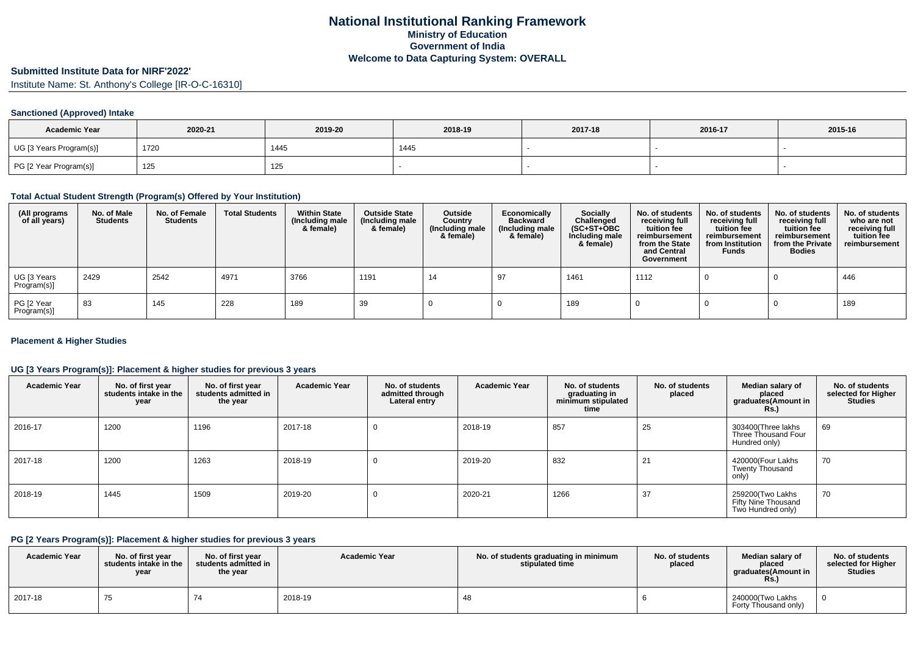# **Submitted Institute Data for NIRF'2022'**

Institute Name: St. Anthony's College [IR-O-C-16310]

### **Sanctioned (Approved) Intake**

| <b>Academic Year</b>    | 2020-21 | 2019-20 | 2018-19 | 2017-18 | 2016-17 | 2015-16 |
|-------------------------|---------|---------|---------|---------|---------|---------|
| UG [3 Years Program(s)] | 1720    | 1445    | 1445    |         |         |         |
| PG [2 Year Program(s)]  | 125     | 125     |         |         |         |         |

#### **Total Actual Student Strength (Program(s) Offered by Your Institution)**

| (All programs<br>of all years) | No. of Male<br><b>Students</b> | No. of Female<br><b>Students</b> | <b>Total Students</b> | <b>Within State</b><br>(Including male<br>& female) | <b>Outside State</b><br>(Including male<br>& female) | Outside<br>Country<br>(Including male<br>& female) | Economically<br><b>Backward</b><br>(Including male<br>& female) | <b>Socially</b><br>Challenged<br>$(SC+ST+OBC)$<br>Including male<br>& female) | No. of students<br>receiving full<br>tuition fee<br>reimbursement<br>from the State<br>and Central<br>Government | No. of students<br>receiving full<br>tuition fee<br>reimbursement<br>from Institution<br><b>Funds</b> | No. of students<br>receiving full<br>tuition fee<br>reimbursement<br>from the Private<br><b>Bodies</b> | No. of students<br>who are not<br>receiving full<br>tuition fee<br>reimbursement |
|--------------------------------|--------------------------------|----------------------------------|-----------------------|-----------------------------------------------------|------------------------------------------------------|----------------------------------------------------|-----------------------------------------------------------------|-------------------------------------------------------------------------------|------------------------------------------------------------------------------------------------------------------|-------------------------------------------------------------------------------------------------------|--------------------------------------------------------------------------------------------------------|----------------------------------------------------------------------------------|
| UG [3 Years<br>Program(s)]     | 2429                           | 2542                             | 4971                  | 3766                                                | 1191                                                 | 14                                                 | $^{\alpha}$                                                     | 1461                                                                          | 1112                                                                                                             |                                                                                                       |                                                                                                        | 446                                                                              |
| PG [2 Year<br>Program(s)]      | 83                             | 145                              | 228                   | 189                                                 | 39                                                   |                                                    |                                                                 | 189                                                                           |                                                                                                                  |                                                                                                       |                                                                                                        | 189                                                                              |

### **Placement & Higher Studies**

### **UG [3 Years Program(s)]: Placement & higher studies for previous 3 years**

| <b>Academic Year</b> | No. of first year<br>students intake in the<br>year | No. of first year<br>students admitted in<br>the year | <b>Academic Year</b> | No. of students<br>admitted through<br>Lateral entry | <b>Academic Year</b> | No. of students<br>graduating in<br>minimum stipulated<br>time | No. of students<br>placed | Median salary of<br>placed<br>graduates(Amount in<br><b>Rs.)</b> | No. of students<br>selected for Higher<br><b>Studies</b> |
|----------------------|-----------------------------------------------------|-------------------------------------------------------|----------------------|------------------------------------------------------|----------------------|----------------------------------------------------------------|---------------------------|------------------------------------------------------------------|----------------------------------------------------------|
| 2016-17              | 1200                                                | 1196                                                  | 2017-18              | $\Omega$                                             | 2018-19              | 857                                                            | 25                        | 303400(Three lakhs<br>Three Thousand Four<br>Hundred only)       | 69                                                       |
| 2017-18              | 1200                                                | 1263                                                  | 2018-19              | 0                                                    | 2019-20              | 832                                                            | 21                        | 420000(Four Lakhs<br><b>Twenty Thousand</b><br>only)             | 70                                                       |
| 2018-19              | 1445                                                | 1509                                                  | 2019-20              | 0                                                    | 2020-21              | 1266                                                           | 37                        | 259200(Two Lakhs<br>Fifty Nine Thousand<br>Two Hundred only)     | 70                                                       |

#### **PG [2 Years Program(s)]: Placement & higher studies for previous 3 years**

| <b>Academic Year</b> | No. of first year<br>students intake in the<br>vear | No. of first vear<br>students admitted in<br>the year | <b>Academic Year</b> | No. of students graduating in minimum<br>stipulated time | No. of students<br>placed | Median salary of<br>placed<br>araduates(Amount in<br><b>KS.)</b> | No. of students<br>selected for Higher<br><b>Studies</b> |
|----------------------|-----------------------------------------------------|-------------------------------------------------------|----------------------|----------------------------------------------------------|---------------------------|------------------------------------------------------------------|----------------------------------------------------------|
| 2017-18              | . J                                                 |                                                       | 2018-19              |                                                          |                           | 240000(Two Lakhs<br>Forty Thousand only)                         |                                                          |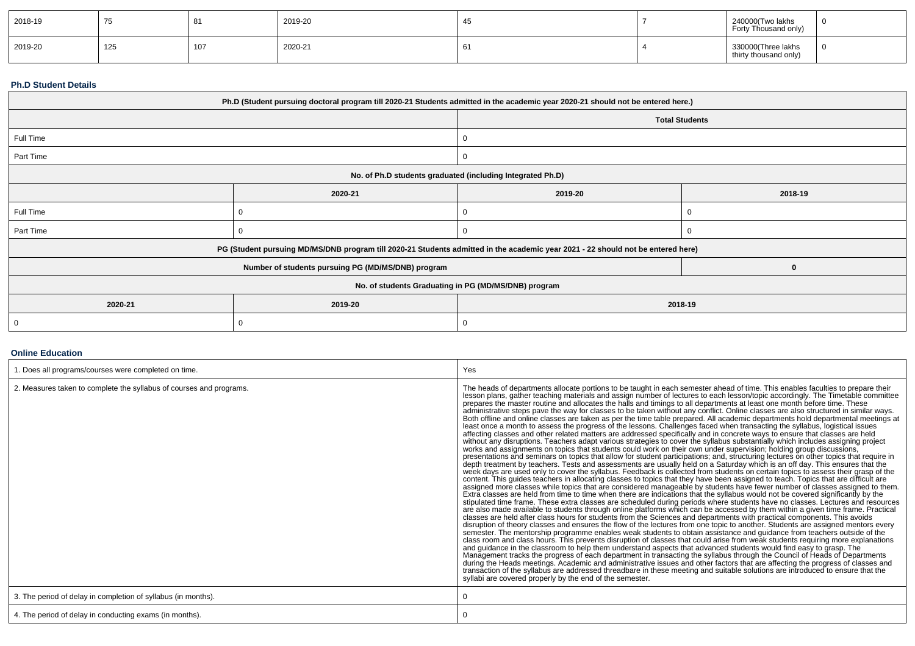| 2018-19 | ں ، | $\circ$ | 2019-20 |             | 240000(Two lakhs<br>Forty Thousand only)    |  |
|---------|-----|---------|---------|-------------|---------------------------------------------|--|
| 2019-20 | 125 | 107     | 2020-21 | $\sim$<br>O | 330000(Three lakhs<br>thirty thousand only) |  |

#### **Ph.D Student Details**

| Ph.D (Student pursuing doctoral program till 2020-21 Students admitted in the academic year 2020-21 should not be entered here.) |                                                                                                                                  |                                                            |         |  |  |  |
|----------------------------------------------------------------------------------------------------------------------------------|----------------------------------------------------------------------------------------------------------------------------------|------------------------------------------------------------|---------|--|--|--|
|                                                                                                                                  |                                                                                                                                  | <b>Total Students</b>                                      |         |  |  |  |
| Full Time                                                                                                                        |                                                                                                                                  |                                                            |         |  |  |  |
| Part Time                                                                                                                        |                                                                                                                                  |                                                            |         |  |  |  |
|                                                                                                                                  |                                                                                                                                  | No. of Ph.D students graduated (including Integrated Ph.D) |         |  |  |  |
|                                                                                                                                  | 2020-21                                                                                                                          | 2019-20                                                    | 2018-19 |  |  |  |
| Full Time                                                                                                                        |                                                                                                                                  |                                                            |         |  |  |  |
| Part Time                                                                                                                        |                                                                                                                                  |                                                            |         |  |  |  |
|                                                                                                                                  | PG (Student pursuing MD/MS/DNB program till 2020-21 Students admitted in the academic year 2021 - 22 should not be entered here) |                                                            |         |  |  |  |
|                                                                                                                                  | Number of students pursuing PG (MD/MS/DNB) program                                                                               |                                                            |         |  |  |  |
| No. of students Graduating in PG (MD/MS/DNB) program                                                                             |                                                                                                                                  |                                                            |         |  |  |  |
| 2020-21                                                                                                                          | 2019-20                                                                                                                          | 2018-19                                                    |         |  |  |  |
|                                                                                                                                  |                                                                                                                                  |                                                            |         |  |  |  |

### **Online Education**

| . Does all programs/courses were completed on time.                 | Yes                                                                                                                                                                                                                                                                                                                                                                                                                                                                                                                                                                                                                                                                                                                                                                                                                                                                                                                                                                                                                                                                                                                                                                                                                                                                                                                                                                                                                                                                                                                                                                                                                                                                                                                                                                                                                                                                                                                                                                                                                                                                                                                                                                                                                                                                                                                                                                                                                                                                                                                                                                                                                                                                                                                                                                                                                                                                                                                                                                                                                                                                                                                                                                                                                                                                                                                                                                                                            |
|---------------------------------------------------------------------|----------------------------------------------------------------------------------------------------------------------------------------------------------------------------------------------------------------------------------------------------------------------------------------------------------------------------------------------------------------------------------------------------------------------------------------------------------------------------------------------------------------------------------------------------------------------------------------------------------------------------------------------------------------------------------------------------------------------------------------------------------------------------------------------------------------------------------------------------------------------------------------------------------------------------------------------------------------------------------------------------------------------------------------------------------------------------------------------------------------------------------------------------------------------------------------------------------------------------------------------------------------------------------------------------------------------------------------------------------------------------------------------------------------------------------------------------------------------------------------------------------------------------------------------------------------------------------------------------------------------------------------------------------------------------------------------------------------------------------------------------------------------------------------------------------------------------------------------------------------------------------------------------------------------------------------------------------------------------------------------------------------------------------------------------------------------------------------------------------------------------------------------------------------------------------------------------------------------------------------------------------------------------------------------------------------------------------------------------------------------------------------------------------------------------------------------------------------------------------------------------------------------------------------------------------------------------------------------------------------------------------------------------------------------------------------------------------------------------------------------------------------------------------------------------------------------------------------------------------------------------------------------------------------------------------------------------------------------------------------------------------------------------------------------------------------------------------------------------------------------------------------------------------------------------------------------------------------------------------------------------------------------------------------------------------------------------------------------------------------------------------------------------------------|
| 2. Measures taken to complete the syllabus of courses and programs. | The heads of departments allocate portions to be taught in each semester ahead of time. This enables faculties to prepare their<br>lesson plans, gather teaching materials and assign number of lectures to each lesson/topic accordingly. The Timetable committee<br>prepares the master routine and allocates the halls and timings to all departments at least one month before time. These<br>administrative steps pave the way for classes to be taken without any conflict. Online classes are also structured in similar ways.<br>Both offline and online classes are taken as per the time table prepared. All academic departments hold departmental meetings at<br>least once a month to assess the progress of the lessons. Challenges faced when transacting the syllabus, logistical issues<br>affecting classes and other related matters are addressed specifically and in concrete ways to ensure that classes are held<br>without any disruptions. Teachers adapt various strategies to cover the syllabus substantially which includes assigning project<br>works and assignments on topics that students could work on their own under supervision; holding group discussions,<br>presentations and seminars on topics that allow for student participations; and, structuring lectures on other topics that require in<br>depth treatment by teachers. Tests and assessments are usually held on a Saturday which is an off day. This ensures that the<br>week days are used only to cover the syllabus. Feedback is collected from students on certain topics to assess their grasp of the<br>content. This guides teachers in allocating classes to topics that they have been assigned to teach. Topics that are difficult are<br>assigned more classes while topics that are considered manageable by students have fewer number of classes assigned to them.<br>Extra classes are held from time to time when there are indications that the syllabus would not be covered significantly by the<br>stipulated time frame. These extra classes are scheduled during periods where students have no classes. Lectures and resources<br>are also made available to students through online platforms which can be accessed by them within a given time frame. Practical<br>classes are held after class hours for students from the Sciences and departments with practical components. This avoids<br>disruption of theory classes and ensures the flow of the lectures from one topic to another. Students are assigned mentors every<br>semester. The mentorship programme enables weak students to obtain assistance and guidance from teachers outside of the<br>class room and class hours. This prevents disruption of classes that could arise from weak students requiring more explanations<br>and guidance in the classroom to help them understand aspects that advanced students would find easy to grasp. The<br>Management tracks the progress of each department in transacting the syllabus through the Council of Heads of Departments<br>during the Heads meetings. Academic and administrative issues and other factors that are affecting the progress of classes and<br>transaction of the syllabus are addressed threadbare in these meeting and suitable solutions are introduced to ensure that the<br>syllabi are covered properly by the end of the semester. |
| 3. The period of delay in completion of syllabus (in months).       |                                                                                                                                                                                                                                                                                                                                                                                                                                                                                                                                                                                                                                                                                                                                                                                                                                                                                                                                                                                                                                                                                                                                                                                                                                                                                                                                                                                                                                                                                                                                                                                                                                                                                                                                                                                                                                                                                                                                                                                                                                                                                                                                                                                                                                                                                                                                                                                                                                                                                                                                                                                                                                                                                                                                                                                                                                                                                                                                                                                                                                                                                                                                                                                                                                                                                                                                                                                                                |
| 4. The period of delay in conducting exams (in months).             |                                                                                                                                                                                                                                                                                                                                                                                                                                                                                                                                                                                                                                                                                                                                                                                                                                                                                                                                                                                                                                                                                                                                                                                                                                                                                                                                                                                                                                                                                                                                                                                                                                                                                                                                                                                                                                                                                                                                                                                                                                                                                                                                                                                                                                                                                                                                                                                                                                                                                                                                                                                                                                                                                                                                                                                                                                                                                                                                                                                                                                                                                                                                                                                                                                                                                                                                                                                                                |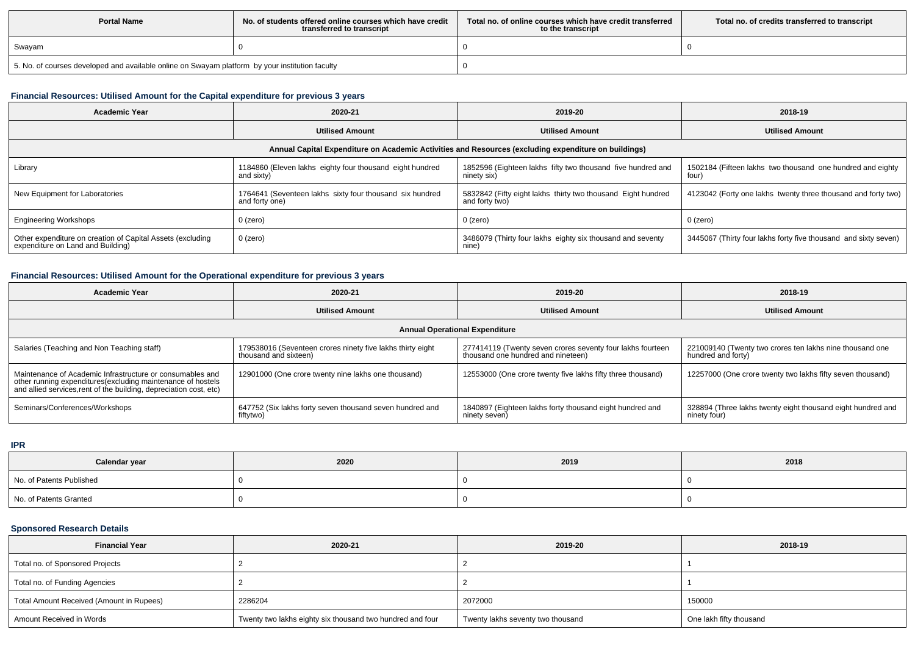| <b>Portal Name</b>                                                                              | No, of students offered online courses which have credit<br>transferred to transcript | Total no. of online courses which have credit transferred<br>to the transcript | Total no. of credits transferred to transcript |
|-------------------------------------------------------------------------------------------------|---------------------------------------------------------------------------------------|--------------------------------------------------------------------------------|------------------------------------------------|
| Swayam                                                                                          |                                                                                       |                                                                                |                                                |
| 5. No. of courses developed and available online on Swayam platform by your institution faculty |                                                                                       |                                                                                |                                                |

# **Financial Resources: Utilised Amount for the Capital expenditure for previous 3 years**

| Academic Year                                                                                        | 2020-21                                                                    | 2019-20                                                                        | 2018-19                                                             |  |  |  |  |  |
|------------------------------------------------------------------------------------------------------|----------------------------------------------------------------------------|--------------------------------------------------------------------------------|---------------------------------------------------------------------|--|--|--|--|--|
|                                                                                                      | <b>Utilised Amount</b>                                                     | <b>Utilised Amount</b>                                                         | <b>Utilised Amount</b>                                              |  |  |  |  |  |
| Annual Capital Expenditure on Academic Activities and Resources (excluding expenditure on buildings) |                                                                            |                                                                                |                                                                     |  |  |  |  |  |
| Library                                                                                              | 1184860 (Eleven lakhs eighty four thousand eight hundred<br>and sixty)     | 1852596 (Eighteen lakhs fifty two thousand five hundred and<br>ninety six)     | 1502184 (Fifteen lakhs two thousand one hundred and eighty<br>four) |  |  |  |  |  |
| New Equipment for Laboratories                                                                       | 1764641 (Seventeen lakhs sixty four thousand six hundred<br>and forty one) | 5832842 (Fifty eight lakhs thirty two thousand Eight hundred<br>and forty two) | 4123042 (Forty one lakhs twenty three thousand and forty two)       |  |  |  |  |  |
| <b>Engineering Workshops</b>                                                                         | 0 (zero)                                                                   | 0 (zero)                                                                       | 0 (zero)                                                            |  |  |  |  |  |
| Other expenditure on creation of Capital Assets (excluding<br>expenditure on Land and Building)      | 0 (zero)                                                                   | 3486079 (Thirty four lakhs eighty six thousand and seventy<br>nine)            | 3445067 (Thirty four lakhs forty five thousand and sixty seven)     |  |  |  |  |  |

# **Financial Resources: Utilised Amount for the Operational expenditure for previous 3 years**

| <b>Academic Year</b>                                                                                                                                                                            | 2020-21                                                                             | 2019-20                                                                                          | 2018-19                                                                        |  |  |  |  |
|-------------------------------------------------------------------------------------------------------------------------------------------------------------------------------------------------|-------------------------------------------------------------------------------------|--------------------------------------------------------------------------------------------------|--------------------------------------------------------------------------------|--|--|--|--|
|                                                                                                                                                                                                 | <b>Utilised Amount</b>                                                              | <b>Utilised Amount</b>                                                                           | <b>Utilised Amount</b>                                                         |  |  |  |  |
| <b>Annual Operational Expenditure</b>                                                                                                                                                           |                                                                                     |                                                                                                  |                                                                                |  |  |  |  |
| Salaries (Teaching and Non Teaching staff)                                                                                                                                                      | 179538016 (Seventeen crores ninety five lakhs thirty eight<br>thousand and sixteen) | 277414119 (Twenty seven crores seventy four lakhs fourteen<br>thousand one hundred and nineteen) | 221009140 (Twenty two crores ten lakhs nine thousand one<br>hundred and forty) |  |  |  |  |
| Maintenance of Academic Infrastructure or consumables and<br>other running expenditures (excluding maintenance of hostels<br>and allied services, rent of the building, depreciation cost, etc) | 12901000 (One crore twenty nine lakhs one thousand)                                 | 12553000 (One crore twenty five lakhs fifty three thousand)                                      | 12257000 (One crore twenty two lakhs fifty seven thousand)                     |  |  |  |  |
| Seminars/Conferences/Workshops                                                                                                                                                                  | 647752 (Six lakhs forty seven thousand seven hundred and<br>fiftytwo)               | 1840897 (Eighteen lakhs forty thousand eight hundred and<br>ninety seven)                        | 328894 (Three lakhs twenty eight thousand eight hundred and<br>ninety four)    |  |  |  |  |

**IPR**

| Calendar year            | 2020 | 2019 | 2018 |
|--------------------------|------|------|------|
| No. of Patents Published |      |      |      |
| No. of Patents Granted   |      |      |      |

# **Sponsored Research Details**

| <b>Financial Year</b>                    | 2020-21                                                   | 2019-20                           | 2018-19                 |
|------------------------------------------|-----------------------------------------------------------|-----------------------------------|-------------------------|
| Total no. of Sponsored Projects          |                                                           |                                   |                         |
| Total no. of Funding Agencies            |                                                           |                                   |                         |
| Total Amount Received (Amount in Rupees) | 2286204                                                   | 2072000                           | 150000                  |
| Amount Received in Words                 | Twenty two lakhs eighty six thousand two hundred and four | Twenty lakhs seventy two thousand | One lakh fifty thousand |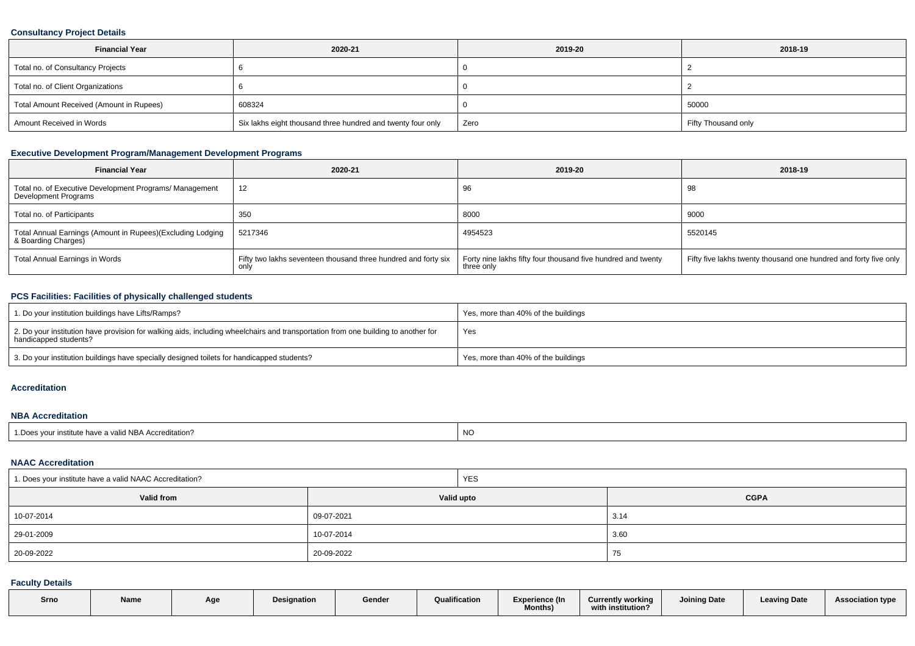### **Consultancy Project Details**

| <b>Financial Year</b>                    | 2020-21                                                     | 2019-20 | 2018-19             |
|------------------------------------------|-------------------------------------------------------------|---------|---------------------|
| Total no. of Consultancy Projects        |                                                             |         |                     |
| Total no. of Client Organizations        |                                                             |         |                     |
| Total Amount Received (Amount in Rupees) | 608324                                                      |         | 50000               |
| Amount Received in Words                 | Six lakhs eight thousand three hundred and twenty four only | Zero    | Fifty Thousand only |

# **Executive Development Program/Management Development Programs**

| <b>Financial Year</b>                                                             | 2020-21                                                                | 2019-20                                                                    | 2018-19                                                          |
|-----------------------------------------------------------------------------------|------------------------------------------------------------------------|----------------------------------------------------------------------------|------------------------------------------------------------------|
| Total no. of Executive Development Programs/ Management<br>Development Programs   | 12                                                                     | 96                                                                         | 98                                                               |
| Total no. of Participants                                                         | 350                                                                    | 8000                                                                       | 9000                                                             |
| Total Annual Earnings (Amount in Rupees)(Excluding Lodging<br>& Boarding Charges) | 5217346                                                                | 4954523                                                                    | 5520145                                                          |
| Total Annual Earnings in Words                                                    | Fifty two lakhs seventeen thousand three hundred and forty six<br>only | Forty nine lakhs fifty four thousand five hundred and twenty<br>three only | Fifty five lakhs twenty thousand one hundred and forty five only |

# **PCS Facilities: Facilities of physically challenged students**

| 1. Do your institution buildings have Lifts/Ramps?                                                                                                         | Yes, more than 40% of the buildings |
|------------------------------------------------------------------------------------------------------------------------------------------------------------|-------------------------------------|
| 2. Do your institution have provision for walking aids, including wheelchairs and transportation from one building to another for<br>handicapped students? | Yes                                 |
| 3. Do your institution buildings have specially designed toilets for handicapped students?                                                                 | Yes, more than 40% of the buildings |

#### **Accreditation**

#### **NBA Accreditation**

| e have a valid NBA Accreditation?<br>$\sim$ Door<br>ร vour institute | <b>NO</b> |
|----------------------------------------------------------------------|-----------|
|----------------------------------------------------------------------|-----------|

#### **NAAC Accreditation**

| 1. Does your institute have a valid NAAC Accreditation? | <b>YES</b> |             |  |  |  |
|---------------------------------------------------------|------------|-------------|--|--|--|
| <b>Valid from</b>                                       | Valid upto | <b>CGPA</b> |  |  |  |
| 10-07-2014                                              | 09-07-2021 | 3.14        |  |  |  |
| 29-01-2009                                              | 10-07-2014 | 3.60        |  |  |  |
| 20-09-2022                                              | 20-09-2022 | 75          |  |  |  |

# **Faculty Details**

| Srno | Name | Aae | <b>Designation</b> | Gender | Qualification | Experience (In<br><b>Months)</b> | <b>Currently working</b><br>with institution? | <b>Joining Date</b> | <b>Leaving Date</b> | <b>Association type</b> |
|------|------|-----|--------------------|--------|---------------|----------------------------------|-----------------------------------------------|---------------------|---------------------|-------------------------|
|      |      |     |                    |        |               |                                  |                                               |                     |                     |                         |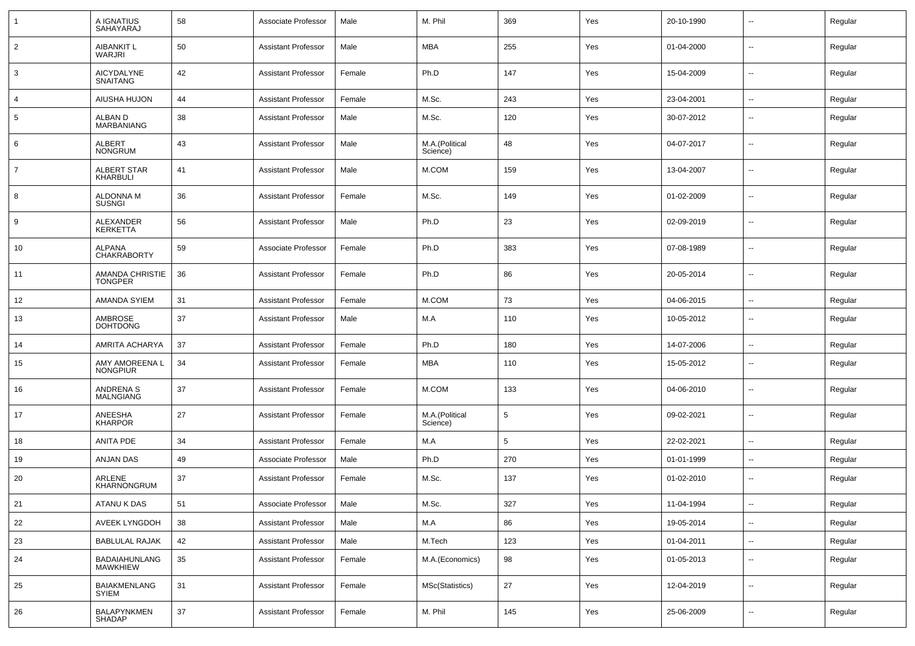|                | A IGNATIUS<br><b>SAHAYARAJ</b>           | 58 | Associate Professor        | Male   | M. Phil                    | 369 | Yes | 20-10-1990 | ⊷.                       | Regular |
|----------------|------------------------------------------|----|----------------------------|--------|----------------------------|-----|-----|------------|--------------------------|---------|
| $\overline{2}$ | AIBANKIT L<br>WARJRI                     | 50 | <b>Assistant Professor</b> | Male   | MBA                        | 255 | Yes | 01-04-2000 | $\sim$                   | Regular |
| 3              | AICYDALYNE<br>SNAITANG                   | 42 | Assistant Professor        | Female | Ph.D                       | 147 | Yes | 15-04-2009 | $\sim$                   | Regular |
| 4              | AIUSHA HUJON                             | 44 | <b>Assistant Professor</b> | Female | M.Sc.                      | 243 | Yes | 23-04-2001 | $\sim$                   | Regular |
| 5              | ALBAN D<br>MARBANIANG                    | 38 | <b>Assistant Professor</b> | Male   | M.Sc.                      | 120 | Yes | 30-07-2012 | --                       | Regular |
| 6              | ALBERT<br><b>NONGRUM</b>                 | 43 | <b>Assistant Professor</b> | Male   | M.A.(Political<br>Science) | 48  | Yes | 04-07-2017 | --                       | Regular |
| $\overline{7}$ | ALBERT STAR<br><b>KHARBULI</b>           | 41 | <b>Assistant Professor</b> | Male   | M.COM                      | 159 | Yes | 13-04-2007 | --                       | Regular |
| 8              | <b>ALDONNA M</b><br><b>SUSNGI</b>        | 36 | <b>Assistant Professor</b> | Female | M.Sc.                      | 149 | Yes | 01-02-2009 | --                       | Regular |
| 9              | <b>ALEXANDER</b><br><b>KERKETTA</b>      | 56 | <b>Assistant Professor</b> | Male   | Ph.D                       | 23  | Yes | 02-09-2019 | --                       | Regular |
| 10             | <b>ALPANA</b><br><b>CHAKRABORTY</b>      | 59 | Associate Professor        | Female | Ph.D                       | 383 | Yes | 07-08-1989 | --                       | Regular |
| 11             | <b>AMANDA CHRISTIE</b><br><b>TONGPER</b> | 36 | <b>Assistant Professor</b> | Female | Ph.D                       | 86  | Yes | 20-05-2014 | --                       | Regular |
| 12             | <b>AMANDA SYIEM</b>                      | 31 | <b>Assistant Professor</b> | Female | M.COM                      | 73  | Yes | 04-06-2015 | --                       | Regular |
| 13             | <b>AMBROSE</b><br><b>DOHTDONG</b>        | 37 | <b>Assistant Professor</b> | Male   | M.A                        | 110 | Yes | 10-05-2012 | $\overline{\phantom{a}}$ | Regular |
| 14             | AMRITA ACHARYA                           | 37 | <b>Assistant Professor</b> | Female | Ph.D                       | 180 | Yes | 14-07-2006 | --                       | Regular |
| 15             | AMY AMOREENA L<br><b>NONGPIUR</b>        | 34 | <b>Assistant Professor</b> | Female | MBA                        | 110 | Yes | 15-05-2012 | --                       | Regular |
| 16             | ANDRENA S<br><b>MALNGIANG</b>            | 37 | <b>Assistant Professor</b> | Female | M.COM                      | 133 | Yes | 04-06-2010 | $\overline{\phantom{a}}$ | Regular |
| 17             | ANEESHA<br><b>KHARPOR</b>                | 27 | <b>Assistant Professor</b> | Female | M.A.(Political<br>Science) | 5   | Yes | 09-02-2021 | $\overline{\phantom{a}}$ | Regular |
| 18             | ANITA PDE                                | 34 | <b>Assistant Professor</b> | Female | M.A                        | 5   | Yes | 22-02-2021 | $\overline{\phantom{a}}$ | Regular |
| 19             | ANJAN DAS                                | 49 | Associate Professor        | Male   | Ph.D                       | 270 | Yes | 01-01-1999 | $\overline{\phantom{a}}$ | Regular |
| 20             | ARLENE<br>KHARNONGRUM                    | 37 | <b>Assistant Professor</b> | Female | M.Sc.                      | 137 | Yes | 01-02-2010 | $\overline{\phantom{a}}$ | Regular |
| 21             | ATANU K DAS                              | 51 | Associate Professor        | Male   | M.Sc.                      | 327 | Yes | 11-04-1994 | $\overline{\phantom{a}}$ | Regular |
| 22             | AVEEK LYNGDOH                            | 38 | <b>Assistant Professor</b> | Male   | M.A                        | 86  | Yes | 19-05-2014 | $\sim$                   | Regular |
| 23             | <b>BABLULAL RAJAK</b>                    | 42 | <b>Assistant Professor</b> | Male   | M.Tech                     | 123 | Yes | 01-04-2011 | $\sim$                   | Regular |
| 24             | BADAIAHUNLANG<br><b>MAWKHIEW</b>         | 35 | <b>Assistant Professor</b> | Female | M.A.(Economics)            | 98  | Yes | 01-05-2013 | $\sim$                   | Regular |
| 25             | <b>BAIAKMENLANG</b><br>SYIEM             | 31 | <b>Assistant Professor</b> | Female | MSc(Statistics)            | 27  | Yes | 12-04-2019 | $\overline{\phantom{a}}$ | Regular |
| 26             | BALAPYNKMEN<br>SHADAP                    | 37 | <b>Assistant Professor</b> | Female | M. Phil                    | 145 | Yes | 25-06-2009 | $\overline{\phantom{a}}$ | Regular |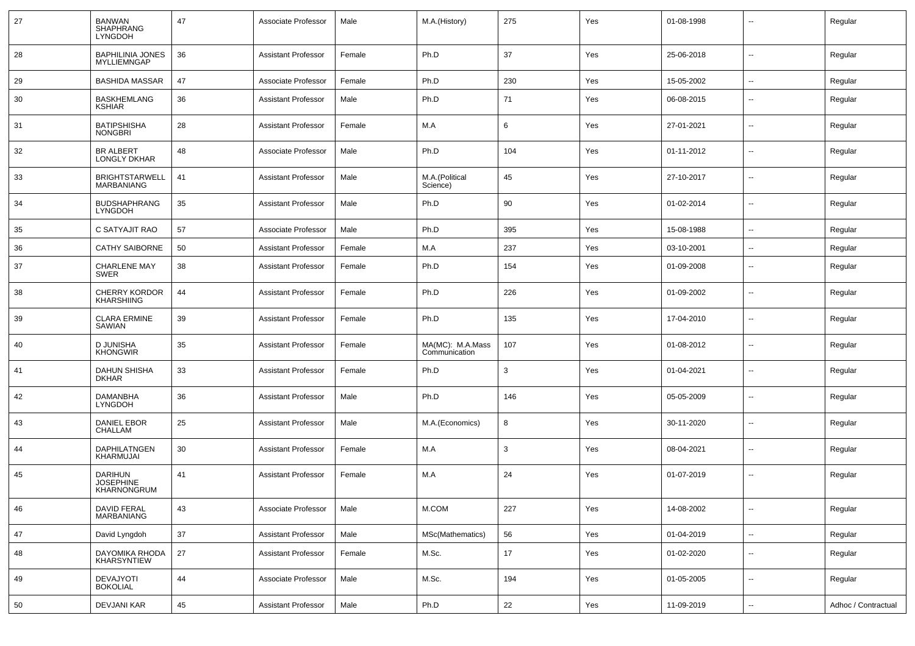| 27 | BANWAN<br>SHAPHRANG<br><b>LYNGDOH</b>      | 47 | Associate Professor        | Male   | M.A.(History)                     | 275 | Yes | 01-08-1998 |                          | Regular             |
|----|--------------------------------------------|----|----------------------------|--------|-----------------------------------|-----|-----|------------|--------------------------|---------------------|
| 28 | <b>BAPHILINIA JONES</b><br>MYLLIEMNGAP     | 36 | <b>Assistant Professor</b> | Female | Ph.D                              | 37  | Yes | 25-06-2018 | ⊷.                       | Regular             |
| 29 | <b>BASHIDA MASSAR</b>                      | 47 | Associate Professor        | Female | Ph.D                              | 230 | Yes | 15-05-2002 | н.                       | Regular             |
| 30 | <b>BASKHEMLANG</b><br><b>KSHIAR</b>        | 36 | <b>Assistant Professor</b> | Male   | Ph.D                              | 71  | Yes | 06-08-2015 | --                       | Regular             |
| 31 | <b>BATIPSHISHA</b><br><b>NONGBRI</b>       | 28 | <b>Assistant Professor</b> | Female | M.A                               | 6   | Yes | 27-01-2021 | $\overline{\phantom{a}}$ | Regular             |
| 32 | <b>BR ALBERT</b><br><b>LONGLY DKHAR</b>    | 48 | Associate Professor        | Male   | Ph.D                              | 104 | Yes | 01-11-2012 | --                       | Regular             |
| 33 | <b>BRIGHTSTARWELL</b><br><b>MARBANIANG</b> | 41 | <b>Assistant Professor</b> | Male   | M.A.(Political<br>Science)        | 45  | Yes | 27-10-2017 | $\overline{\phantom{a}}$ | Regular             |
| 34 | <b>BUDSHAPHRANG</b><br><b>LYNGDOH</b>      | 35 | <b>Assistant Professor</b> | Male   | Ph.D                              | 90  | Yes | 01-02-2014 | --                       | Regular             |
| 35 | C SATYAJIT RAO                             | 57 | Associate Professor        | Male   | Ph.D                              | 395 | Yes | 15-08-1988 | $\overline{a}$           | Regular             |
| 36 | <b>CATHY SAIBORNE</b>                      | 50 | <b>Assistant Professor</b> | Female | M.A                               | 237 | Yes | 03-10-2001 | --                       | Regular             |
| 37 | <b>CHARLENE MAY</b><br>SWER                | 38 | <b>Assistant Professor</b> | Female | Ph.D                              | 154 | Yes | 01-09-2008 | --                       | Regular             |
| 38 | <b>CHERRY KORDOR</b><br><b>KHARSHIING</b>  | 44 | <b>Assistant Professor</b> | Female | Ph.D                              | 226 | Yes | 01-09-2002 | --                       | Regular             |
| 39 | <b>CLARA ERMINE</b><br>SAWIAN              | 39 | <b>Assistant Professor</b> | Female | Ph.D                              | 135 | Yes | 17-04-2010 | н.                       | Regular             |
| 40 | D JUNISHA<br><b>KHONGWIR</b>               | 35 | <b>Assistant Professor</b> | Female | MA(MC): M.A.Mass<br>Communication | 107 | Yes | 01-08-2012 | $\overline{\phantom{a}}$ | Regular             |
| 41 | DAHUN SHISHA<br><b>DKHAR</b>               | 33 | <b>Assistant Professor</b> | Female | Ph.D                              | 3   | Yes | 01-04-2021 | --                       | Regular             |
| 42 | DAMANBHA<br><b>LYNGDOH</b>                 | 36 | <b>Assistant Professor</b> | Male   | Ph.D                              | 146 | Yes | 05-05-2009 | --                       | Regular             |
| 43 | DANIEL EBOR<br>CHALLAM                     | 25 | <b>Assistant Professor</b> | Male   | M.A.(Economics)                   | 8   | Yes | 30-11-2020 | $\overline{\phantom{a}}$ | Regular             |
| 44 | <b>DAPHILATNGEN</b><br><b>KHARMUJAI</b>    | 30 | <b>Assistant Professor</b> | Female | M.A                               | 3   | Yes | 08-04-2021 | --                       | Regular             |
| 45 | DARIHUN<br><b>JOSEPHINE</b><br>KHARNONGRUM | 41 | <b>Assistant Professor</b> | Female | M.A                               | 24  | Yes | 01-07-2019 | $\overline{\phantom{a}}$ | Regular             |
| 46 | DAVID FERAL<br>MARBANIANG                  | 43 | Associate Professor        | Male   | M.COM                             | 227 | Yes | 14-08-2002 | $\overline{\phantom{a}}$ | Regular             |
| 47 | David Lyngdoh                              | 37 | <b>Assistant Professor</b> | Male   | MSc(Mathematics)                  | 56  | Yes | 01-04-2019 | $\overline{\phantom{a}}$ | Regular             |
| 48 | DAYOMIKA RHODA<br>KHARSYNTIEW              | 27 | <b>Assistant Professor</b> | Female | M.Sc.                             | 17  | Yes | 01-02-2020 | $\overline{\phantom{a}}$ | Regular             |
| 49 | DEVAJYOTI<br><b>BOKOLIAL</b>               | 44 | Associate Professor        | Male   | M.Sc.                             | 194 | Yes | 01-05-2005 | ⊷.                       | Regular             |
| 50 | <b>DEVJANI KAR</b>                         | 45 | <b>Assistant Professor</b> | Male   | Ph.D                              | 22  | Yes | 11-09-2019 | $\sim$                   | Adhoc / Contractual |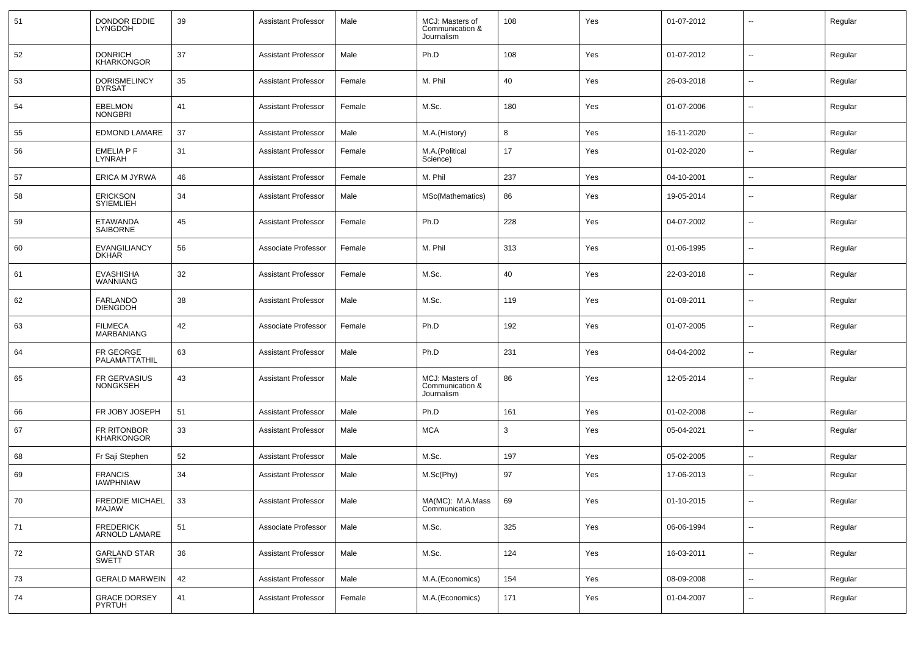| 51           | DONDOR EDDIE<br>LYNGDOH              | 39 | <b>Assistant Professor</b> | Male   | MCJ: Masters of<br>Communication &<br>Journalism | 108 | Yes | 01-07-2012 |                          | Regular |
|--------------|--------------------------------------|----|----------------------------|--------|--------------------------------------------------|-----|-----|------------|--------------------------|---------|
| 52           | <b>DONRICH</b><br><b>KHARKONGOR</b>  | 37 | Assistant Professor        | Male   | Ph.D                                             | 108 | Yes | 01-07-2012 | ۰.                       | Regular |
| 53           | <b>DORISMELINCY</b><br><b>BYRSAT</b> | 35 | Assistant Professor        | Female | M. Phil                                          | 40  | Yes | 26-03-2018 | $\overline{a}$           | Regular |
| 54           | <b>EBELMON</b><br><b>NONGBRI</b>     | 41 | Assistant Professor        | Female | M.Sc.                                            | 180 | Yes | 01-07-2006 | --                       | Regular |
| 55           | <b>EDMOND LAMARE</b>                 | 37 | Assistant Professor        | Male   | M.A.(History)                                    | 8   | Yes | 16-11-2020 | Ξ.                       | Regular |
| 56           | EMELIA P F<br><b>LYNRAH</b>          | 31 | <b>Assistant Professor</b> | Female | M.A.(Political<br>Science)                       | 17  | Yes | 01-02-2020 | $\overline{a}$           | Regular |
| 57           | <b>ERICA M JYRWA</b>                 | 46 | <b>Assistant Professor</b> | Female | M. Phil                                          | 237 | Yes | 04-10-2001 | --                       | Regular |
| 58           | <b>ERICKSON</b><br><b>SYIEMLIEH</b>  | 34 | <b>Assistant Professor</b> | Male   | MSc(Mathematics)                                 | 86  | Yes | 19-05-2014 | $\overline{a}$           | Regular |
| 59           | ETAWANDA<br>SAIBORNE                 | 45 | <b>Assistant Professor</b> | Female | Ph.D                                             | 228 | Yes | 04-07-2002 | $\overline{a}$           | Regular |
| 60           | <b>EVANGILIANCY</b><br><b>DKHAR</b>  | 56 | Associate Professor        | Female | M. Phil                                          | 313 | Yes | 01-06-1995 | $\overline{a}$           | Regular |
| 61           | <b>EVASHISHA</b><br>WANNIANG         | 32 | <b>Assistant Professor</b> | Female | M.Sc.                                            | 40  | Yes | 22-03-2018 | $\overline{\phantom{a}}$ | Regular |
| 62           | FARLANDO<br><b>DIENGDOH</b>          | 38 | <b>Assistant Professor</b> | Male   | M.Sc.                                            | 119 | Yes | 01-08-2011 | $\overline{\phantom{a}}$ | Regular |
| 63           | <b>FILMECA</b><br><b>MARBANIANG</b>  | 42 | Associate Professor        | Female | Ph.D                                             | 192 | Yes | 01-07-2005 | $\overline{\phantom{a}}$ | Regular |
| 64           | FR GEORGE<br>PALAMATTATHIL           | 63 | <b>Assistant Professor</b> | Male   | Ph.D                                             | 231 | Yes | 04-04-2002 | $\overline{\phantom{a}}$ | Regular |
| 65           | FR GERVASIUS<br><b>NONGKSEH</b>      | 43 | <b>Assistant Professor</b> | Male   | MCJ: Masters of<br>Communication &<br>Journalism | 86  | Yes | 12-05-2014 | $\overline{\phantom{a}}$ | Regular |
| 66           | FR JOBY JOSEPH                       | 51 | Assistant Professor        | Male   | Ph.D                                             | 161 | Yes | 01-02-2008 | --                       | Regular |
| 67           | FR RITONBOR<br><b>KHARKONGOR</b>     | 33 | <b>Assistant Professor</b> | Male   | <b>MCA</b>                                       | 3   | Yes | 05-04-2021 | $\overline{\phantom{a}}$ | Regular |
| 68           | Fr Saji Stephen                      | 52 | <b>Assistant Professor</b> | Male   | M.Sc.                                            | 197 | Yes | 05-02-2005 | $\overline{\phantom{a}}$ | Regular |
| 69           | <b>FRANCIS</b><br><b>IAWPHNIAW</b>   | 34 | <b>Assistant Professor</b> | Male   | M.Sc(Phy)                                        | 97  | Yes | 17-06-2013 | --                       | Regular |
| $ 70\rangle$ | FREDDIE MICHAEL 33<br>MAJAW          |    | Assistant Professor        | Male   | MA(MC): M.A.Mass<br>Communication                | 69  | Yes | 01-10-2015 | $\overline{\phantom{a}}$ | Regular |
| 71           | FREDERICK<br>ARNOLD LAMARE           | 51 | Associate Professor        | Male   | M.Sc.                                            | 325 | Yes | 06-06-1994 | Ξ.                       | Regular |
| 72           | <b>GARLAND STAR</b><br>SWETT         | 36 | <b>Assistant Professor</b> | Male   | M.Sc.                                            | 124 | Yes | 16-03-2011 | $\overline{\phantom{a}}$ | Regular |
| 73           | <b>GERALD MARWEIN</b>                | 42 | <b>Assistant Professor</b> | Male   | M.A.(Economics)                                  | 154 | Yes | 08-09-2008 | ۰.                       | Regular |
| 74           | <b>GRACE DORSEY</b><br>PYRTUH        | 41 | <b>Assistant Professor</b> | Female | M.A.(Economics)                                  | 171 | Yes | 01-04-2007 | Ξ.                       | Regular |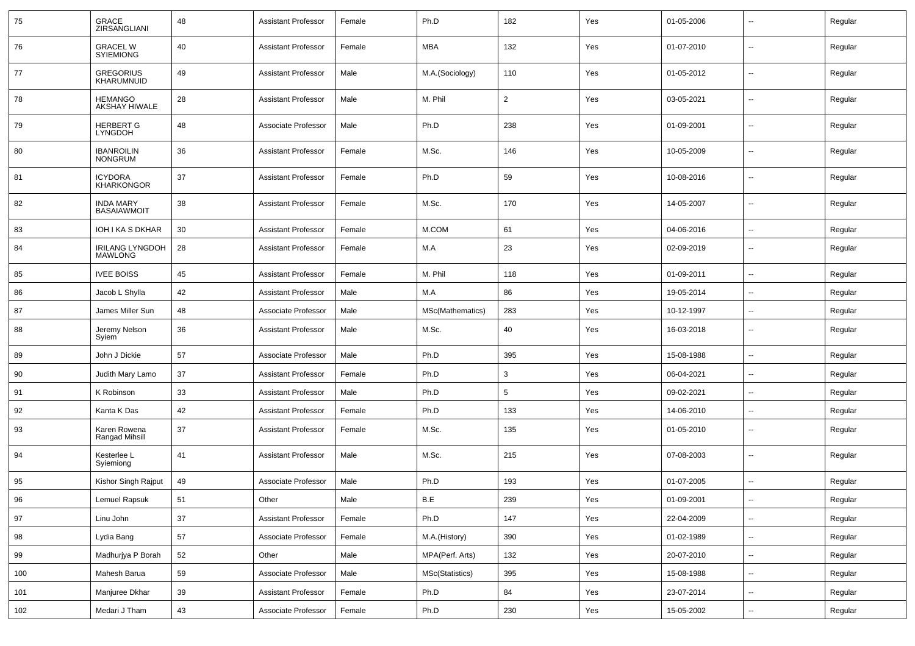| 75  | GRACE<br>ZIRSANGLIANI                    | 48 | <b>Assistant Professor</b> | Female | Ph.D                  | 182            | Yes | 01-05-2006 |                          | Regular |
|-----|------------------------------------------|----|----------------------------|--------|-----------------------|----------------|-----|------------|--------------------------|---------|
| 76  | GRACEL W<br>SYIEMIONG                    | 40 | <b>Assistant Professor</b> | Female | <b>MBA</b>            | 132            | Yes | 01-07-2010 | --                       | Regular |
| 77  | GREGORIUS<br>KHARUMNUID                  | 49 | <b>Assistant Professor</b> | Male   | M.A.(Sociology)       | 110            | Yes | 01-05-2012 | --                       | Regular |
| 78  | <b>HEMANGO</b><br>AKSHAY HIWALE          | 28 | <b>Assistant Professor</b> | Male   | M. Phil               | $\overline{2}$ | Yes | 03-05-2021 | --                       | Regular |
| 79  | <b>HERBERT G</b><br><b>LYNGDOH</b>       | 48 | Associate Professor        | Male   | Ph.D                  | 238            | Yes | 01-09-2001 | Ξ.                       | Regular |
| 80  | <b>IBANROILIN<br/>NONGRUM</b>            | 36 | <b>Assistant Professor</b> | Female | M.Sc.                 | 146            | Yes | 10-05-2009 | --                       | Regular |
| 81  | <b>ICYDORA</b><br><b>KHARKONGOR</b>      | 37 | <b>Assistant Professor</b> | Female | Ph.D                  | 59             | Yes | 10-08-2016 | Ξ.                       | Regular |
| 82  | <b>INDA MARY</b><br><b>BASAIAWMOIT</b>   | 38 | <b>Assistant Professor</b> | Female | M.Sc.                 | 170            | Yes | 14-05-2007 | --                       | Regular |
| 83  | IOH I KA S DKHAR                         | 30 | <b>Assistant Professor</b> | Female | M.COM                 | 61             | Yes | 04-06-2016 | --                       | Regular |
| 84  | <b>IRILANG LYNGDOH</b><br><b>MAWLONG</b> | 28 | <b>Assistant Professor</b> | Female | M.A                   | 23             | Yes | 02-09-2019 | --                       | Regular |
| 85  | <b>IVEE BOISS</b>                        | 45 | <b>Assistant Professor</b> | Female | M. Phil               | 118            | Yes | 01-09-2011 | $\sim$                   | Regular |
| 86  | Jacob L Shylla                           | 42 | <b>Assistant Professor</b> | Male   | M.A                   | 86             | Yes | 19-05-2014 | $\overline{a}$           | Regular |
| 87  | James Miller Sun                         | 48 | Associate Professor        | Male   | MSc(Mathematics)      | 283            | Yes | 10-12-1997 | --                       | Regular |
| 88  | Jeremy Nelson<br>Syiem                   | 36 | <b>Assistant Professor</b> | Male   | M.Sc.                 | 40             | Yes | 16-03-2018 | $\overline{a}$           | Regular |
| 89  | John J Dickie                            | 57 | Associate Professor        | Male   | Ph.D                  | 395            | Yes | 15-08-1988 | $\ddot{\phantom{a}}$     | Regular |
| 90  | Judith Mary Lamo                         | 37 | <b>Assistant Professor</b> | Female | Ph.D                  | 3              | Yes | 06-04-2021 | $\overline{\phantom{a}}$ | Regular |
| 91  | K Robinson                               | 33 | <b>Assistant Professor</b> | Male   | Ph.D                  | 5              | Yes | 09-02-2021 | $\overline{\phantom{a}}$ | Regular |
| 92  | Kanta K Das                              | 42 | <b>Assistant Professor</b> | Female | Ph.D                  | 133            | Yes | 14-06-2010 |                          | Regular |
| 93  | Karen Rowena<br>Rangad Mihsill           | 37 | <b>Assistant Professor</b> | Female | M.Sc.                 | 135            | Yes | 01-05-2010 | --                       | Regular |
| 94  | Kesterlee L<br>Syiemiong                 | 41 | <b>Assistant Professor</b> | Male   | M.Sc.                 | 215            | Yes | 07-08-2003 | --                       | Regular |
| 95  | Kishor Singh Rajput                      | 49 | Associate Professor        | Male   | Ph.D                  | 193            | Yes | 01-07-2005 | --                       | Regular |
| 96  | Lemuel Rapsuk                            | 51 | Other                      | Male   | $\mathsf B.\mathsf E$ | 239            | Yes | 01-09-2001 |                          | Regular |
| 97  | Linu John                                | 37 | <b>Assistant Professor</b> | Female | Ph.D                  | 147            | Yes | 22-04-2009 | $\sim$                   | Regular |
| 98  | Lydia Bang                               | 57 | Associate Professor        | Female | M.A.(History)         | 390            | Yes | 01-02-1989 | $\sim$                   | Regular |
| 99  | Madhurjya P Borah                        | 52 | Other                      | Male   | MPA(Perf. Arts)       | 132            | Yes | 20-07-2010 | $\sim$                   | Regular |
| 100 | Mahesh Barua                             | 59 | Associate Professor        | Male   | MSc(Statistics)       | 395            | Yes | 15-08-1988 | $\sim$                   | Regular |
| 101 | Manjuree Dkhar                           | 39 | <b>Assistant Professor</b> | Female | Ph.D                  | 84             | Yes | 23-07-2014 | $\sim$                   | Regular |
| 102 | Medari J Tham                            | 43 | Associate Professor        | Female | Ph.D                  | 230            | Yes | 15-05-2002 | $\sim$                   | Regular |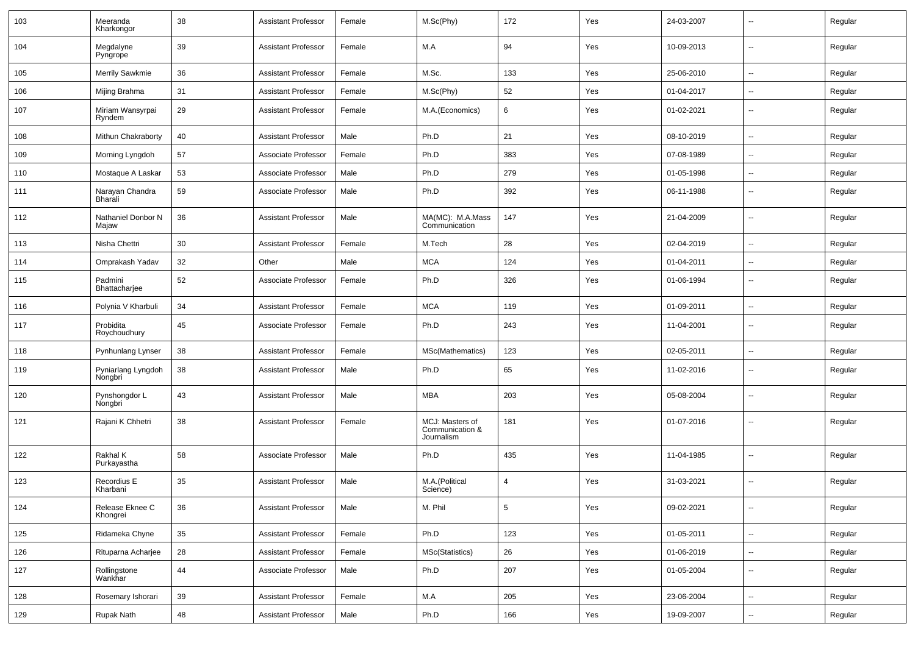| 103 | Meeranda<br>Kharkongor        | 38 | Assistant Professor        | Female | M.Sc(Phy)                                        | 172             | Yes | 24-03-2007 | $\overline{\phantom{a}}$ | Regular |
|-----|-------------------------------|----|----------------------------|--------|--------------------------------------------------|-----------------|-----|------------|--------------------------|---------|
| 104 | Megdalyne<br>Pyngrope         | 39 | <b>Assistant Professor</b> | Female | M.A                                              | 94              | Yes | 10-09-2013 | $\sim$                   | Regular |
| 105 | Merrily Sawkmie               | 36 | <b>Assistant Professor</b> | Female | M.Sc.                                            | 133             | Yes | 25-06-2010 | $\sim$                   | Regular |
| 106 | Mijing Brahma                 | 31 | <b>Assistant Professor</b> | Female | M.Sc(Phy)                                        | 52              | Yes | 01-04-2017 | $\mathbf{u}$             | Regular |
| 107 | Miriam Wansyrpai<br>Ryndem    | 29 | Assistant Professor        | Female | M.A.(Economics)                                  | 6               | Yes | 01-02-2021 | $\overline{\phantom{a}}$ | Regular |
| 108 | Mithun Chakraborty            | 40 | <b>Assistant Professor</b> | Male   | Ph.D                                             | 21              | Yes | 08-10-2019 | $\overline{a}$           | Regular |
| 109 | Morning Lyngdoh               | 57 | Associate Professor        | Female | Ph.D                                             | 383             | Yes | 07-08-1989 | $\overline{\phantom{a}}$ | Regular |
| 110 | Mostaque A Laskar             | 53 | Associate Professor        | Male   | Ph.D                                             | 279             | Yes | 01-05-1998 | $\overline{\phantom{a}}$ | Regular |
| 111 | Narayan Chandra<br>Bharali    | 59 | Associate Professor        | Male   | Ph.D                                             | 392             | Yes | 06-11-1988 | $\mathbf{u}$             | Regular |
| 112 | Nathaniel Donbor N<br>Majaw   | 36 | <b>Assistant Professor</b> | Male   | MA(MC): M.A.Mass<br>Communication                | 147             | Yes | 21-04-2009 | $\sim$                   | Regular |
| 113 | Nisha Chettri                 | 30 | <b>Assistant Professor</b> | Female | M.Tech                                           | 28              | Yes | 02-04-2019 | $\mathbf{u}$             | Regular |
| 114 | Omprakash Yadav               | 32 | Other                      | Male   | <b>MCA</b>                                       | 124             | Yes | 01-04-2011 | $\sim$                   | Regular |
| 115 | Padmini<br>Bhattacharjee      | 52 | Associate Professor        | Female | Ph.D                                             | 326             | Yes | 01-06-1994 | $\overline{\phantom{a}}$ | Regular |
| 116 | Polynia V Kharbuli            | 34 | <b>Assistant Professor</b> | Female | <b>MCA</b>                                       | 119             | Yes | 01-09-2011 | $\mathbf{u}$             | Regular |
| 117 | Probidita<br>Roychoudhury     | 45 | Associate Professor        | Female | Ph.D                                             | 243             | Yes | 11-04-2001 | $\overline{\phantom{a}}$ | Regular |
| 118 | Pynhunlang Lynser             | 38 | <b>Assistant Professor</b> | Female | MSc(Mathematics)                                 | 123             | Yes | 02-05-2011 | $\mathbf{u}$             | Regular |
| 119 | Pyniarlang Lyngdoh<br>Nongbri | 38 | <b>Assistant Professor</b> | Male   | Ph.D                                             | 65              | Yes | 11-02-2016 | $\overline{\phantom{a}}$ | Regular |
| 120 | Pynshongdor L<br>Nongbri      | 43 | <b>Assistant Professor</b> | Male   | <b>MBA</b>                                       | 203             | Yes | 05-08-2004 | $\overline{\phantom{a}}$ | Regular |
| 121 | Rajani K Chhetri              | 38 | <b>Assistant Professor</b> | Female | MCJ: Masters of<br>Communication &<br>Journalism | 181             | Yes | 01-07-2016 | $\overline{\phantom{a}}$ | Regular |
| 122 | Rakhal K<br>Purkayastha       | 58 | Associate Professor        | Male   | Ph.D                                             | 435             | Yes | 11-04-1985 | $\overline{\phantom{a}}$ | Regular |
| 123 | Recordius E<br>Kharbani       | 35 | Assistant Professor        | Male   | M.A.(Political<br>Science)                       | 4               | Yes | 31-03-2021 | --                       | Regular |
| 124 | Release Eknee C<br>Khongrei   | 36 | <b>Assistant Professor</b> | Male   | M. Phil                                          | $5\phantom{.0}$ | Yes | 09-02-2021 | $\mathbf{u}$             | Regular |
| 125 | Ridameka Chyne                | 35 | <b>Assistant Professor</b> | Female | Ph.D                                             | 123             | Yes | 01-05-2011 | $\overline{\phantom{a}}$ | Regular |
| 126 | Rituparna Acharjee            | 28 | <b>Assistant Professor</b> | Female | MSc(Statistics)                                  | 26              | Yes | 01-06-2019 | $\sim$                   | Regular |
| 127 | Rollingstone<br>Wankhar       | 44 | Associate Professor        | Male   | Ph.D                                             | 207             | Yes | 01-05-2004 | $\sim$                   | Regular |
| 128 | Rosemary Ishorari             | 39 | <b>Assistant Professor</b> | Female | M.A                                              | 205             | Yes | 23-06-2004 | $\overline{\phantom{a}}$ | Regular |
| 129 | Rupak Nath                    | 48 | <b>Assistant Professor</b> | Male   | Ph.D                                             | 166             | Yes | 19-09-2007 | $\sim$                   | Regular |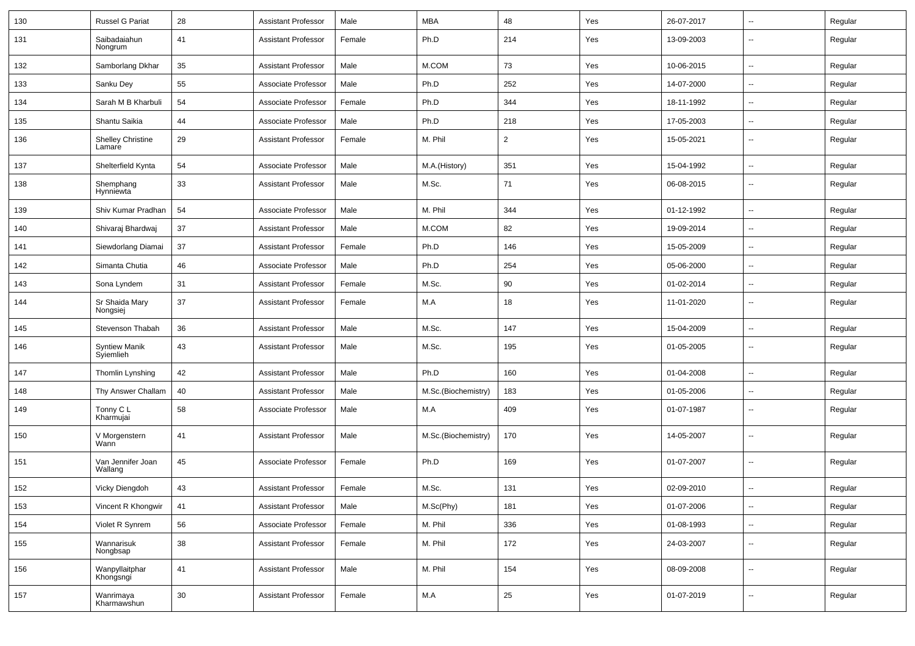| 130 | <b>Russel G Pariat</b>            | 28 | <b>Assistant Professor</b> | Male   | <b>MBA</b>          | 48             | Yes | 26-07-2017 | ⊷.                       | Regular |
|-----|-----------------------------------|----|----------------------------|--------|---------------------|----------------|-----|------------|--------------------------|---------|
| 131 | Saibadaiahun<br>Nongrum           | 41 | <b>Assistant Professor</b> | Female | Ph.D                | 214            | Yes | 13-09-2003 | $\overline{a}$           | Regular |
| 132 | Samborlang Dkhar                  | 35 | <b>Assistant Professor</b> | Male   | M.COM               | 73             | Yes | 10-06-2015 | $\overline{\phantom{a}}$ | Regular |
| 133 | Sanku Dey                         | 55 | Associate Professor        | Male   | Ph.D                | 252            | Yes | 14-07-2000 | --                       | Regular |
| 134 | Sarah M B Kharbuli                | 54 | Associate Professor        | Female | Ph.D                | 344            | Yes | 18-11-1992 | --                       | Regular |
| 135 | Shantu Saikia                     | 44 | Associate Professor        | Male   | Ph.D                | 218            | Yes | 17-05-2003 | $\overline{\phantom{a}}$ | Regular |
| 136 | Shelley Christine<br>Lamare       | 29 | <b>Assistant Professor</b> | Female | M. Phil             | $\overline{2}$ | Yes | 15-05-2021 | $\overline{\phantom{a}}$ | Regular |
| 137 | Shelterfield Kynta                | 54 | Associate Professor        | Male   | M.A.(History)       | 351            | Yes | 15-04-1992 | $\overline{\phantom{a}}$ | Regular |
| 138 | Shemphang<br>Hynniewta            | 33 | <b>Assistant Professor</b> | Male   | M.Sc.               | 71             | Yes | 06-08-2015 | --                       | Regular |
| 139 | Shiv Kumar Pradhan                | 54 | Associate Professor        | Male   | M. Phil             | 344            | Yes | 01-12-1992 | н.                       | Regular |
| 140 | Shivaraj Bhardwaj                 | 37 | <b>Assistant Professor</b> | Male   | M.COM               | 82             | Yes | 19-09-2014 | $\overline{a}$           | Regular |
| 141 | Siewdorlang Diamai                | 37 | <b>Assistant Professor</b> | Female | Ph.D                | 146            | Yes | 15-05-2009 | $\overline{a}$           | Regular |
| 142 | Simanta Chutia                    | 46 | Associate Professor        | Male   | Ph.D                | 254            | Yes | 05-06-2000 | --                       | Regular |
| 143 | Sona Lyndem                       | 31 | <b>Assistant Professor</b> | Female | M.Sc.               | 90             | Yes | 01-02-2014 | $\overline{a}$           | Regular |
| 144 | Sr Shaida Mary<br>Nongsiej        | 37 | <b>Assistant Professor</b> | Female | M.A                 | 18             | Yes | 11-01-2020 | $\overline{\phantom{a}}$ | Regular |
| 145 | Stevenson Thabah                  | 36 | <b>Assistant Professor</b> | Male   | M.Sc.               | 147            | Yes | 15-04-2009 | $\overline{\phantom{a}}$ | Regular |
| 146 | <b>Syntiew Manik</b><br>Syiemlieh | 43 | <b>Assistant Professor</b> | Male   | M.Sc.               | 195            | Yes | 01-05-2005 | -−                       | Regular |
| 147 | Thomlin Lynshing                  | 42 | <b>Assistant Professor</b> | Male   | Ph.D                | 160            | Yes | 01-04-2008 | -−                       | Regular |
| 148 | Thy Answer Challam                | 40 | <b>Assistant Professor</b> | Male   | M.Sc.(Biochemistry) | 183            | Yes | 01-05-2006 | ۵.                       | Regular |
| 149 | Tonny C L<br>Kharmujai            | 58 | Associate Professor        | Male   | M.A                 | 409            | Yes | 01-07-1987 | --                       | Regular |
| 150 | V Morgenstern<br>Wann             | 41 | <b>Assistant Professor</b> | Male   | M.Sc.(Biochemistry) | 170            | Yes | 14-05-2007 | --                       | Regular |
| 151 | Van Jennifer Joan<br>Wallang      | 45 | Associate Professor        | Female | Ph.D                | 169            | Yes | 01-07-2007 | --                       | Regular |
| 152 | Vicky Diengdoh                    | 43 | <b>Assistant Professor</b> | Female | M.Sc.               | 131            | Yes | 02-09-2010 |                          | Regular |
| 153 | Vincent R Khongwir                | 41 | <b>Assistant Professor</b> | Male   | M.Sc(Phy)           | 181            | Yes | 01-07-2006 | Ц.                       | Regular |
| 154 | Violet R Synrem                   | 56 | Associate Professor        | Female | M. Phil             | 336            | Yes | 01-08-1993 | н.                       | Regular |
| 155 | Wannarisuk<br>Nongbsap            | 38 | <b>Assistant Professor</b> | Female | M. Phil             | 172            | Yes | 24-03-2007 | $\overline{\phantom{a}}$ | Regular |
| 156 | Wanpyllaitphar<br>Khongsngi       | 41 | <b>Assistant Professor</b> | Male   | M. Phil             | 154            | Yes | 08-09-2008 | $\overline{\phantom{a}}$ | Regular |
| 157 | Wanrimaya<br>Kharmawshun          | 30 | <b>Assistant Professor</b> | Female | M.A                 | 25             | Yes | 01-07-2019 | $\sim$                   | Regular |